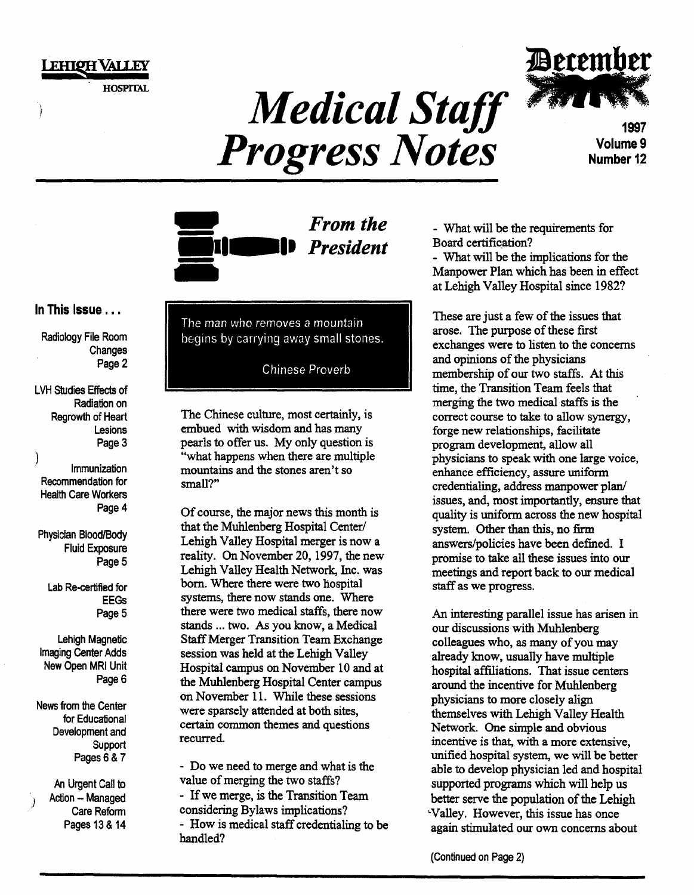### **LEHIQH VALLEY**

. HOSPITAL

*Medical Staff Progress Notes* 



**1997 Volume9 Number 12** 



The man who removes a mountain begins by carrying away small stones.

**Chinese Proverb** 

The Chinese culture, most certainly, is embued with wisdom and has many pearls to offer us. My only question is "what happens when there are multiple mountains and the stones aren't so small?"

Of course, the major news this month is that the Muhlenberg Hospital Center/ Lehigh Valley Hospital merger is now a reality. On November 20, 1997, the new Lehigh Valley Health Network, Inc. was born. Where there were two hospital systems, there now stands one. Where there were two medical staffs, there now stands ... two. As you know, a Medical Staff Merger Transition Team Exchange session was held at the Lehigh Valley Hospital campus on November 10 and at the Muhlenberg Hospital Center campus on November 11. While these sessions were sparsely attended at both sites, certain common themes and questions recurred.

- Do we need to merge and what is the value of merging the two staffs?

- If we merge, is the Transition Team considering Bylaws implications?

- How is medical staff credentialing to be handled?

- What will be the requirements for Board certification?

- What will be the implications for the Manpower Plan which has been in effect at Lehigh Valley Hospital since 1982?

These are just a few of the issues that arose. The purpose of these first exchanges were to listen to the concerns and opinions of the physicians membership of our two staffs. At this time, the Transition Team feels that merging the two medical staffs is the correct course to take to allow synergy, forge new relationships, facilitate program development, allow all physicians to speak with one large voice, enhance efficiency, assure uniform credentialing, address manpower plan/ issues, and, most importantly, ensure that quality is uniform across the new hospital system. Other than this, no firm answers/policies have been defined. I promise to take all these issues into our meetings and report back to our medical staff as we progress.

An interesting parallel issue has arisen in our discussions with Muhlenberg colleagues who, as many of you may already know, usually have multiple hospital affiliations. That issue centers around the incentive for Muhlenberg physicians to more closely align themselves with Lehigh Valley Health Network. One simple and obvious incentive is that, with a more extensive, unified hospital system, we will be better able to develop physician led and hospital supported programs which will help us better serve the population of the Lehigh Valley. However, this issue has once again stimulated our own concerns about

(Continued on Page 2)

#### **In This Issue** ...

Radiology File Room **Changes** Page 2

LVH Studies Effects of Radiation on Regrowth of Heart Lesions Page 3

Immunization Recommendation for Health Care Workers Page 4

Physician Blood/Body Fluid Exposure Page 5

> Lab Re-certified for EEGs Page 5

Lehigh Magnetic Imaging Center Adds New Open MRI Unit Page 6

News from the Center for Educational Development and Support Pages 6 & 7

An Urgent Call to Action -- Managed Care Reform Pages 13& 14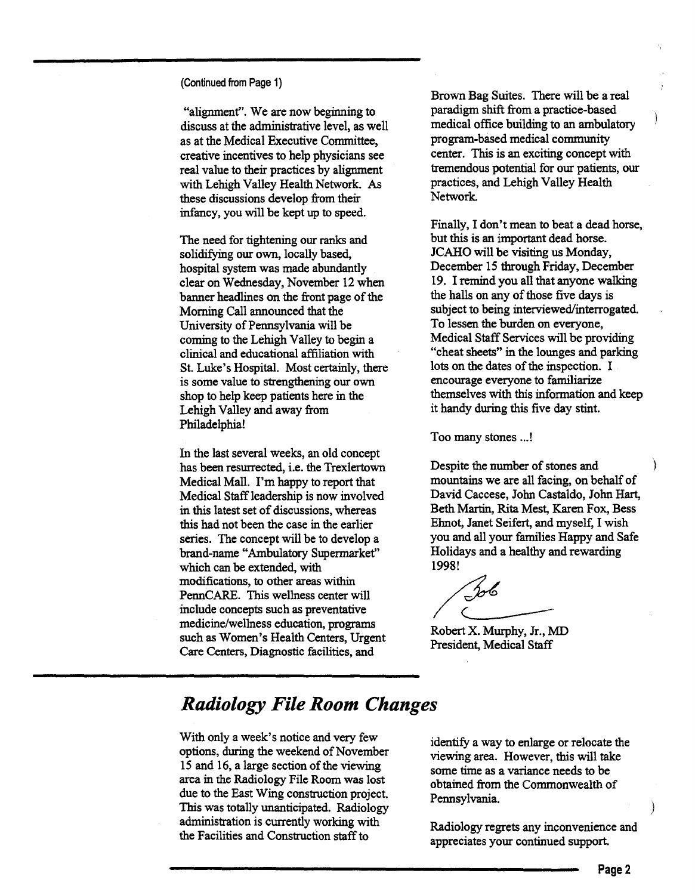(Continued from Page 1)

"alignment". We are now beginning to discuss at the administrative level, as well as at the Medical Executive Committee, creative incentives to help physicians see real value to their practices by alignment with Lehigh Valley Health Network. *N.*  these discussions develop from their infancy, you will be kept up to speed.

The need for tightening our ranks and solidifying our own, locally based, hospital system was made abundantly clear on Wednesday, November 12 when banner headlines on the front page of the Morning Call announced that the University of Pennsylvania will be coming to the Lehigh Valley to begin a clinical and educational affiliation with St. Luke's Hospital. Most certainly, there is some value to strengthening our own shop to help keep patients here in the Lehigh Valley and away from Philadelphia!

In the last several weeks, an old concept has been resurrected, i.e. the Trexlertown Medical Mall. I'm happy to report that Medical Staff leadership is now involved in this latest set of discussions, whereas this had not been the case in the earlier series. The concept will be to develop a brand-name "Ambulatory Supermarket" which can be extended, with modifications, to other areas within PennCARE. This wellness center will include concepts such as preventative medicine/wellness education, programs such as Women's Health Centers, Urgent Care Centers, Diagnostic facilities, and

Brown Bag Suites. There will be a real paradigm shift from a practice-based medical office building to an ambulatory program-based medical community center. This is an exciting concept with tremendous potential for our patients, our practices, and Lehigh Valley Health Network.

Finally, I don't mean to beat a dead horse, but this is an important dead horse. JCAHO will be visiting us Monday, December 15 through Friday, December 19. I remind you all that anyone walking the halls on any of those five days is subject to being interviewed/interrogated. To lessen the burden on everyone, Medical Staff Services will be providing "cheat sheets" in the lounges and parking lots on the dates of the inspection. I encourage everyone to familiarize themselves with this information and keep it handy during this five day stint.

Too many stones ... !

Despite the number of stones and mountains we are all facing, on behalf of David Caccese, John Castaldo, John Hart, Beth Martin, Rita Mest, Karen Fox, Bess Ehnot, Janet Seifert, and myself, I wish you and all your families Happy and Safe Holidays and a healthy and rewarding 1998! Emiot, sanct scriet, and myself, I wish<br>you and all your families Happy and Safe<br>Holidays and a healthy and rewarding<br>1998!<br>Robert X. Murphy, Jr., MD<br>Procident Modical Staff

Robert X. Murphy, Jr., MD President, Medical Staff

### *Radiology File Room Changes*

With only a week's notice and very few options, during the weekend of November 15 and 16, a large section of the viewing area in the Radiology File Room was lost due to the East Wing construction project. This was totally unanticipated. Radiology administration is currently working with the Facilities and Construction staff to

identify a way to enlarge or relocate the viewing area. However, this will take some time as a variance needs to be obtained from the Commonwealth of Pennsylvania.

Radiology regrets any inconvenience and appreciates your continued support.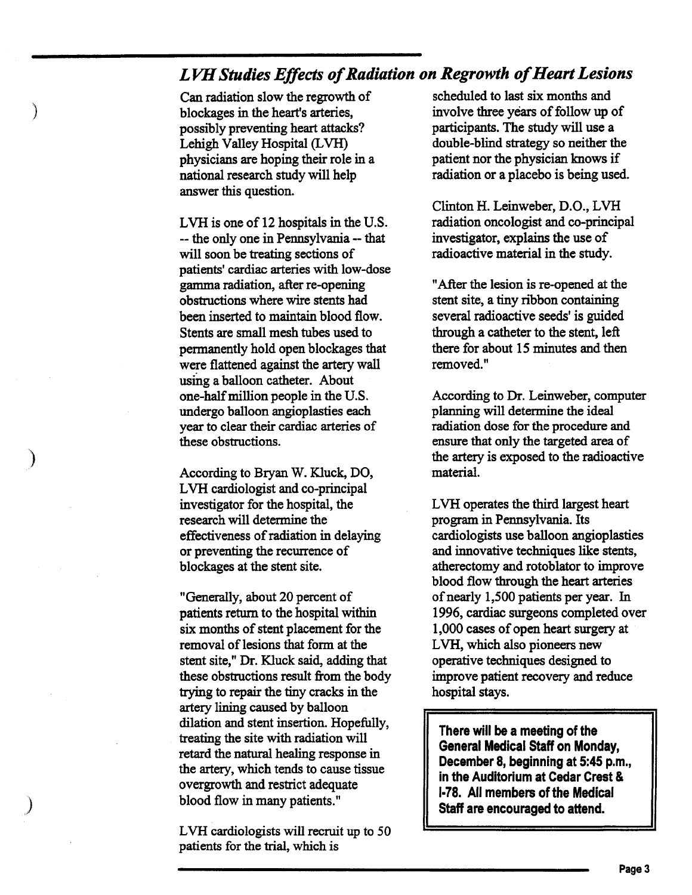### *L VH Studies Effects of Radiation on Regrowth of Heart Lesions*

Can radiation slow the regrowth of scheduled to last six months and blockages in the heart's arteries, involve three years of follow up of possibly preventing heart attacks? participants. The study will use a Lehigh Valley Hospital (LVH) double-blind strategy so neither the physicians are hoping their role in a patient nor the physician knows if national research study will help radiation or a placebo is being used. answer this question.

-- the only one in Pennsylvania -- that investigator, explains the use of will soon be treating sections of radioactive material in the study. patients' cardiac arteries with low-dose gamma radiation, after re-opening "After the lesion is re-opened at the obstructions where wire stents had stent site, a tiny ribbon containing been inserted to maintain blood flow. several radioactive seeds' is guided Stents are small mesh tubes used to through a catheter to the stent, left permanently hold open blockages that there for about 15 minutes and then were flattened against the artery wall removed." using a balloon catheter. About one-half million people in the U.S. According to Dr. Leinweber, computer undergo balloon angioplasties each planning will determine the ideal year to clear their cardiac arteries of radiation dose for the procedure and these obstructions. ensure that only the targeted area of

According to Bryan W. Kluck, DO, LVH cardiologist and co-principal investigator for the hospital, the LVH operates the third largest heart research will determine the program in Pennsylvania. Its

"Generally, about 20 percent of of nearly 1,500 patients per year. In patients return to the hospital within 1996, cardiac surgeons completed over six months of stent placement for the 1,000 cases of open heart surgery at removal of lesions that form at the LVH, which also pioneers new stent site," Dr. Kluck said, adding that operative techniques designed to these obstructions result from the body improve patient recovery and reduce trying to repair the tiny cracks in the hospital stays. artery lining caused by balloon dilation and stent insertion. Hopefully,<br>treating the site with radiation will<br>extend the untent healing proposes in the **General Medical Staff on Monday**, retard the natural healing response in December 8, beginning at 5:45 p.m., the artery, which tends to cause tissue  $\begin{array}{c|c|c|c|c} \text{in the Addition at Ceder Crest & \text{or} \end{array}$ <br>overgrowth and restrict adequate in the Auditorium at Cedar Crest &

LVH cardiologists will recruit up to 50 patients for the trial, which is

Clinton H. Leinweber, D.O., LVH LVH is one of 12 hospitals in the U.S. radiation oncologist and co-principal

the artery is exposed to the radioactive<br>material.

effectiveness of radiation in delaying cardiologists use balloon angioplasties or preventing the recurrence of and innovative techniques like stents, blockages at the stent site.  $\blacksquare$  atherectomy and rotoblator to improve blood flow through the heart arteries

1·78. All members of the Medical blood flow in many patients."<br>
Staff are encouraged to attend.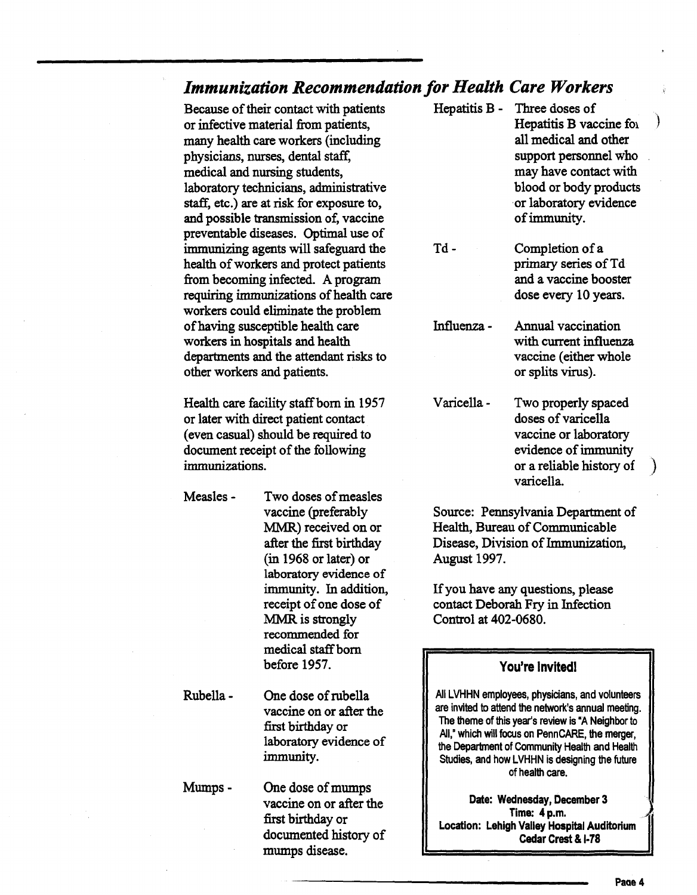### *Immunization Recommendation for Health Care Workers*

Because of their contact with patients or infective material from patients, many health care workers (including physicians, nurses, dental staff, medical and nursing students, laboratory technicians, administrative staff, etc.) are at risk for exposure to, and possible transmission of, vaccine preventable diseases. Optimal use of immunizing agents will safeguard the health of workers and protect patients from becoming infected. A program requiring immunizations of health care workers could eliminate the problem of having susceptible health care workers in hospitals and health departments and the attendant risks to other workers and patients.

Health care facility staff born in 1957 or later with direct patient contact (even casual) should be required to docwnent receipt of the following immunizations.

Measles-

Two doses of measles vaccine (preferably MMR) received on or after the first birthday (in 1968 or later) or laboratory evidence of immunity. In addition, receipt of one dose of MMR is strongly recommended for medical staffbom before 1957.

Rubella-

One dose of rubella vaccine on or after the first birthday or laboratory evidence of immunity.

Mumps -One dose of mumps vaccine on or after the first birthday or documented history of mumps disease.

Hepatitis B - Three doses of Hepatitis B vaccine for all medical and other support personnel who may have contact with blood or body products or laboratory evidence of immunity.

- Td Completion of a primary series of Td and a vaccine booster dose every 10 years.
- Influenza Annual vaccination with current influenza vaccine (either whole or splits virus).
- Varicella- Two properly spaced doses of varicella vaccine or laboratory evidence of immunity or a reliable history of ) varicella.

Source: Pennsylvania Department of Health, Bureau of Communicable Disease, Division of Immunization, August 1997.

If you have any questions, please contact Deborah Fry in Infection Control at 402-0680.

#### You're Invited!

All LVHHN employees, physicians, and volunteers are invited to attend the network's annual meeting. The theme of this year's review is "A Neighbor to All," which will focus on PennCARE, the merger, the Department of Community Health and Health Studies, and how LVHHN is designing the future of health care.

Date: Wednesday, December 3 Time: 4p.m. Location: Lehigh Valley Hospital Auditorium Cedar Crest & 1-78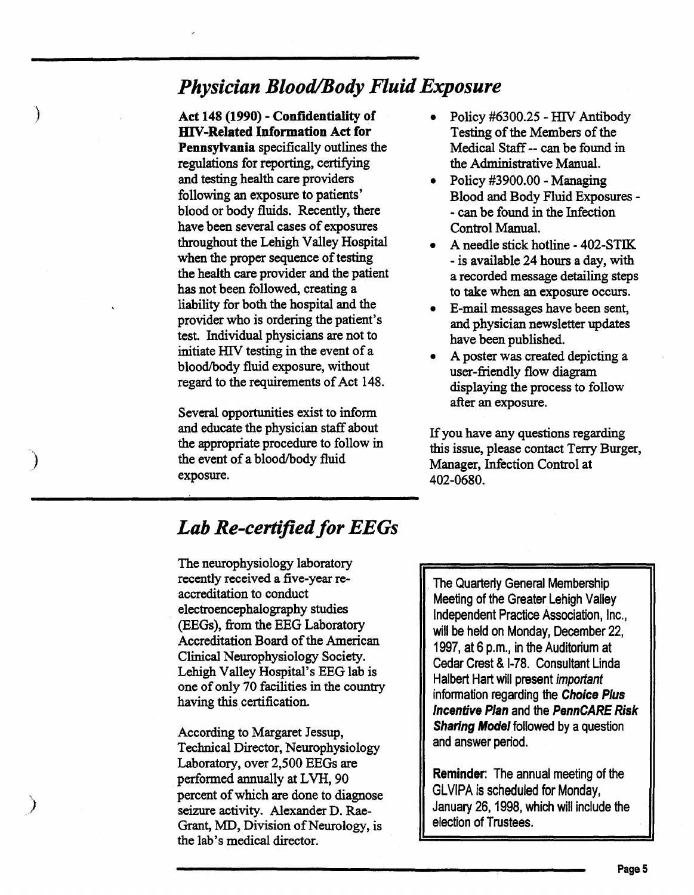### *Physician Blood/Body Fluid Exposure*

Act 148 (1990)- Confidentiality of HIV -Related Information Act for Pennsylvania specifically outlines the regulations for reporting, certifying and testing health care providers following an exposure to patients' blood or body fluids. Recently, there have been several cases of exposures throughout the Lehigh Valley Hospital when the proper sequence of testing the health care provider and the patient has not been followed, creating a liability for both the hospital and the provider who is ordering the patient's test. Individual physicians are not to initiate HIV testing in the event of a blood/body fluid exposure, without regard to the requirements of Act 148.

)

)

)

Several opportunities exist to inform and educate the physician staff about the appropriate procedure to follow in the event of a blood/body fluid exposure.

- Policy #6300.25 HIV Antibody Testing of the Members of the Medical Staff-- can be found in the Administrative Manual.
- Policy #3900.00 Managing Blood and Body Fluid Exposures - - can be found in the Infection Control Manual.
- A needle stick hotline 402-STIK - is available 24 hours a day, with a recorded message detailing steps to take when an exposure occurs.
- E-mail messages have been sent, and physician newsletter updates have been published.
- A poster was created depicting a user-friendly flow diagram displaying the process to follow after an exposure.

If you have any questions regarding this issue, please contact Terry Burger, Manager, Infection Control at 402-0680.

## *Lab Re-certified for EEGs*

The neurophysiology laboratory recently received a five-year reaccreditation to conduct electroencephalography studies (BEGs), from the BEG Laboratory Accreditation Board of the American Clinical Neurophysiology Society. Lehigh Valley Hospital's EEG lab is one of only 70 facilities in the country having this certification.

According to Margaret Jessup, Technical Director, Neurophysiology Laboratory, over 2,500 BEGs are performed annually at LVH, 90 percent of which are done to diagnose seizure activity. Alexander D. Rae-Grant, MD, Division of Neurology, is the lab's medical director.

. The Quarterly General Membership Meeting of the Greater Lehigh Valley Independent Practice Association, Inc., will be held on Monday, December 22, 1997, at 6 p.m., in the Auditorium at Cedar Crest & 1-78. Consultant Linda Halbert Hart will present important information regarding the Choice Plus Incentive Plan and the PennCARE Risk Sharing Model followed by a question and answer period.

Reminder: The annual meeting of the GLVIPA is scheduled for Monday, January 26, 1998, which will include the election of Trustees.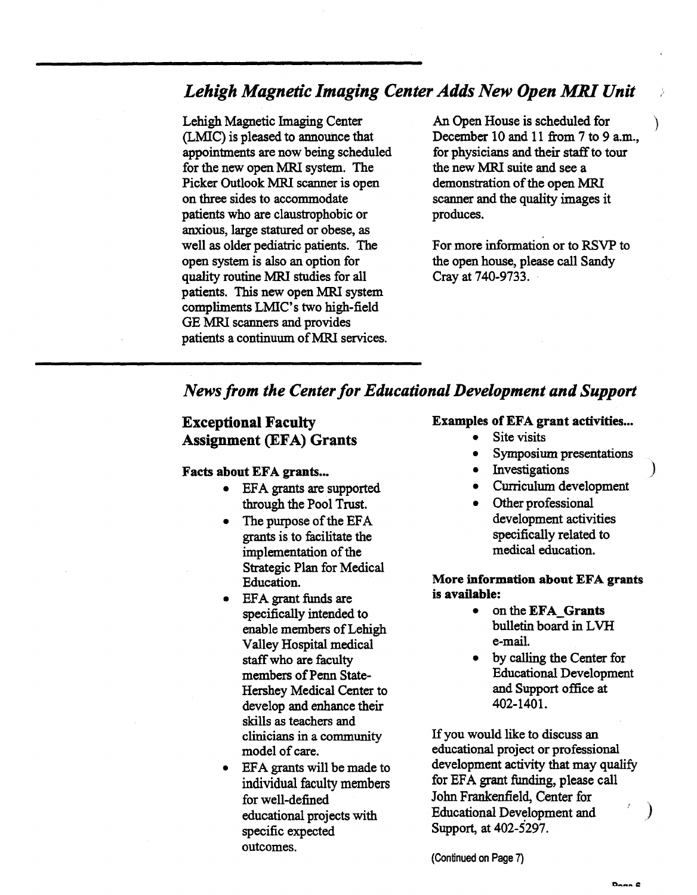### *Lehigh Magnetic Imaging Center Adds New Open MRI Unit*

Lehigh Magnetic Imaging Center (LMIC) is pleased to announce that appointments are now being scheduled for the new open MRI system. The Picker Outlook MRI scanner is open on three sides to accommodate patients who are claustrophobic or anxious, large statured or obese, as well as older pediatric patients. The open system is also an option for quality routine MRI studies for all patients. This new open MRI system compliments LMIC's two high-field GE MRI scanners and provides patients a continuum ofMRI services.

An Open House is scheduled for  $\qquad \qquad$ December 10 and 11 from 7 to 9 a.m., for physicians and their staff to tour the new MRI suite and see a demonstration of the open MRI scanner and the quality images it produces.

For more information or to RSVP to the open house, please call Sandy Cray at 740-9733.

### *News from the Center for Educational Development and Support*

### Exceptional Faculty Assignment (EFA) Grants

#### Facts about EFA grants...

- EFA grants are supported through the Pool Trust.
- The purpose of the EFA grants is to facilitate the implementation of the Strategic Plan for Medical Education.
- EF A grant funds are specifically intended to enable members of Lehigh Valley Hospital medical staff who are faculty members of Penn State-Hershey Medical Center to develop and enhance their skills as teachers and clinicians in a community model of care.
- EFA grants will be made to individual faculty members for well-defined educational projects with specific expected outcomes.

#### Examples of EFA grant activities...

- Site visits
- Symposium presentations
- Investigations *)*
- Curriculum development
- Other professional development activities specifically related to medical education.

#### More information about EFA grants is available:

- on the EFA Grants bulletin board in LVH e-mail.
- by calling the Center for Educational Development and Support office at 402-1401.

If you would like to discuss an educational project or professional development activity that may qualify for EF A grant funding, please call John Frankenfield, Center for Educational Development and ) Support, at 402-5297.

(Continued on Page 7)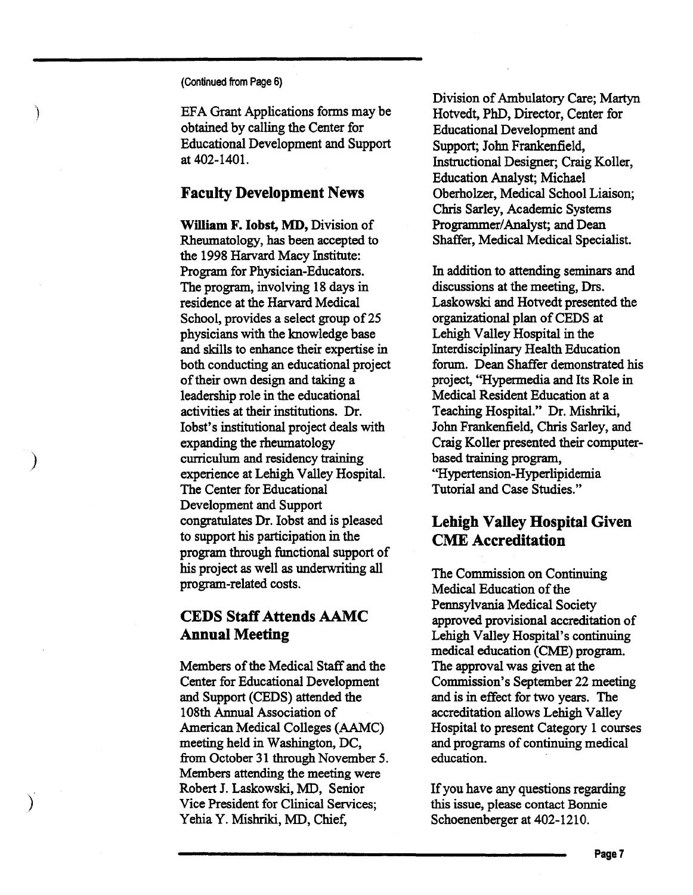(Continued from Page 6)

EFA Grant Applications forms may be Hotvedt, PhD, Director, Center for botained by calling the Center for Educational Development and Educational Development and Support Support; John Frankenfield,<br>at 402-1401. Instructional Designer: Crain

William F. Iobst, MD, Division of Programmer/Analyst; and Dean<br>Rheumatology, has been accepted to Shaffer, Medical Medical Specialist. Rheumatology, has been accepted to the 1998 Harvard Macy Institute: Program for Physician-Educators. In addition to attending seminars and The program, involving 18 days in discussions at the meeting, Drs. residence at the Harvard Medical Laskowski and Hotvedt presented the School, provides a select group of 25 organizational plan of CEDS at physicians with the knowledge base Lehigh Valley Hospital in the physicians with the knowledge base Lehigh Valley Hospital in the<br>and skills to enhance their expertise in Interdisciplinary Health Education and skills to enhance their expertise in both conducting an educational project forum. Dean Shaffer demonstrated his of their own design and taking a project, ''Hypermedia and Its Role in leadership role in the educational Medical Resident Education at a activities at their institutions. Dr. Teaching Hospital." Dr. Mishriki, Iobst's institutional project deals with John Frankenfield, Chris Sarley, and expanding the rheumatology Craig Koller presented their computer- ) curriculum and residency training based training program, experience at Lehigh Valley Hospital. The Center for Educational Tutorial and Case Studies." Development and Support congratulates Dr. Iobst and is pleased Lehigh Valley Hospital Given to support his participation in the CME Accreditation program through functional support of his project as well as underwriting all The Commission on Continuing program-related costs. Medical Education of the

Members of the Medical Staff and the The approval was given at the Center for Educational Development Commission's September 22 meeting and Support (CEDS) attended the and is in effect for two years. The 1 08th Annual Association of accreditation allows Lehigh Valley meeting held in Washington, DC, and programs of continuing medical from October 31 through November 5. education. Members attending the meeting were Robert J. Laskowski, MD, Senior If you have any questions regarding Vice President for Clinical Services; this issue, please contact Bonnie Yehia Y. Mishriki, MD, Chief, Schoenenberger at 402-1210.

)

Division of Ambulatory Care; Martyn Educational Development and Instructional Designer; Craig Koller, Education Analyst; Michael Faculty Development News Oberholzer, Medical School Liaison; Chris Sarley, Academic Systems

Pennsylvania Medical Society<br>
CEDS Staff Attends AAMC engroved provisional accredita approved provisional accreditation of Annual Meeting Lehigh Valley Hospital's continuing medical education (CME) program. American Medical Colleges (AAMC) Hospital to present Category 1 courses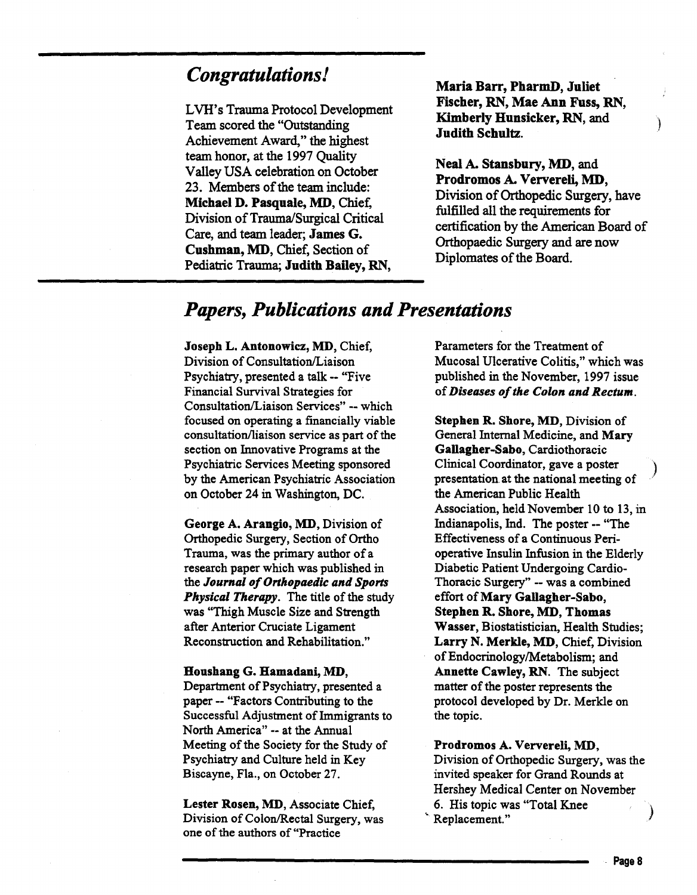### *Congratulations!*

LVH's Trauma Protocol Development Team scored the "Outstanding Achievement Award," the highest team honor, at the 1997 Quality Valley USA celebration on October 23. Members of the team include: Michael D. Pasquale, MD, Chief, Division of Trauma/Surgical Critical Care, and team leader; James G. Cushman, MD, Chief, Section of Pediatric Trauma; Judith Bailey, RN,

Maria Barr, PharmD, Juliet Fischer, RN, Mae Ann Fuss, RN, Kimberly Hunsicker, RN, and Judith Schultz.

Neal A. Stansbury, MD, and Prodromos A. Ververeli, MD, Division of Orthopedic Surgery, have fulfilled all the requirements for certification by the American Board of Orthopaedic Surgery and are now Diplomates of the Board.

### *Papers, Publications and Presentations*

Joseph L. Antonowicz, MD, Chief, Division of Consultation/Liaison Psychiatry, presented a talk-- "Five Financial Survival Strategies for Consultation/Liaison Services" -- which focused on operating a financially viable consultation/liaison service as part of the section on Innovative Programs at the Psychiatric Services Meeting sponsored by the American Psychiatric Association on October 24 in Washington, DC.

George A. Arangio, MD, Division of Orthopedic Surgery, Section of Ortho Trauma, was the primary author of a research paper which was published in the *Journal of Orthopaedic and Sports Physical Therapy.* The title of the study was "Thigh Muscle Size and Strength after Anterior Cruciate Ligament Reconstruction and Rehabilitation."

#### Boushang G. Hamadani, MD,

Department of Psychiatry, presented a paper -- "Factors Contributing to the Successful Adjustment of Immigrants to North America"-- at the Annual Meeting of the Society for the Study of Psychiatry and Culture held in Key Biscayne, Fla., on October 27.

Lester Rosen, MD, Associate Chief, Division of Colon/Rectal Surgery, was one of the authors of "Practice

Parameters for the Treatment of Mucosal Ulcerative Colitis," which was published in the November, 1997 issue of *Diseases of the Colon and Rectum.* 

Stephen R. Shore, MD, Division of General Internal Medicine, and Mary Gallagher-Sabo, Cardiothoracic Clinical Coordinator, gave a poster ) presentation at the national meeting of the American Public Health Association, held November 10 to 13, in Indianapolis, Ind. The poster -- "The Effectiveness of a Continuous Perioperative Insulin Infusion in the Elderly Diabetic Patient Undergoing Cardia-Thoracic Surgery" -- was a combined effort of Mary Gallagher-Sabo, Stephen R. Shore, MD, Thomas Wasser, Biostatistician, Health Studies; Larry N. Merkle, MD, Chief, Division ofEndocrinology/Metabolism; and Annette Cawley, RN. The subject matter of the poster represents the protocol developed by Dr. Merkle on the topic.

Prodromos A. Ververeli, MD, Division of Orthopedic Surgery, was the invited speaker for Grand Rounds at Hershey Medical Center on November 6. His topic was "Total Knee *)*  Replacement."

Page 8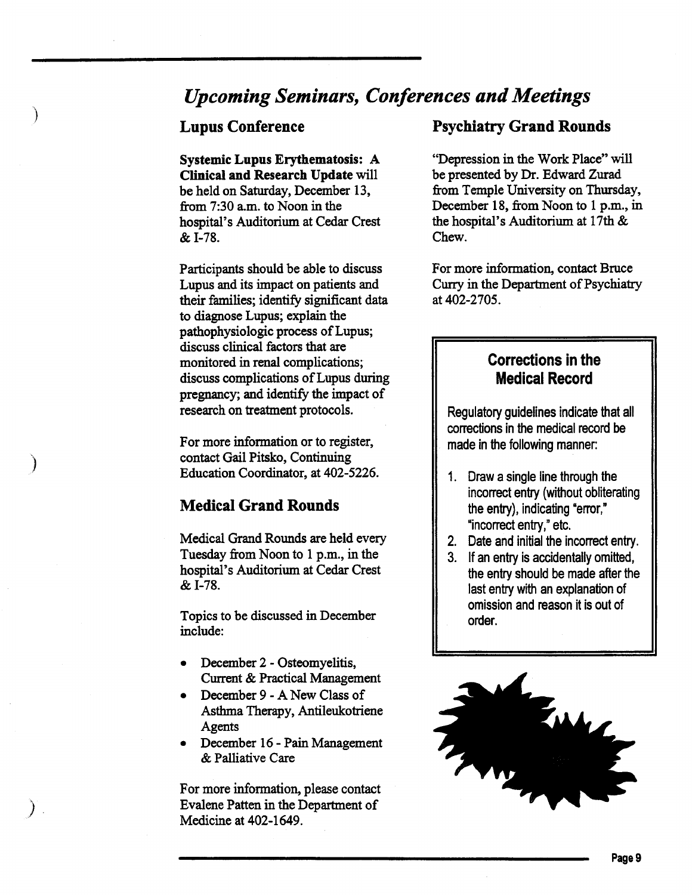## *Upcoming Seminars, Conferences and Meetings*

### Lupus Conference

)

)

 $)$ 

Systemic Lupus Erythematosis: A Clinical and Research Update will be held on Saturday, December 13, from 7:30 a.m. to Noon in the hospital's Auditorium at Cedar Crest & I-78.

Participants should be able to discuss Lupus and its impact on patients and their families; identify significant data to diagnose Lupus; explain the pathophysiologic process of Lupus; discuss clinical factors that are monitored in renal complications; discuss complications of Lupus during pregnancy; and identify the impact of research on treatment protocols.

For more information or to register, contact Gail Pitsko, Continuing Education Coordinator, at 402-5226.

### Medical Grand Rounds

Medical Grand Rounds are held every Tuesday from Noon to 1 p.m., in the hospital's Auditorium at Cedar Crest & I-78.

Topics to be discussed in December include:

- December 2 Osteomyelitis, Current & Practical Management
- December 9 A New Class of Asthma Therapy, Antileukotriene Agents
- December 16 Pain Management & Palliative Care

For more information, please contact Evalene Patten in the Department of Medicine at 402-1649.

### Psychiatry Grand Rounds

"Depression in the Work Place" will be presented by Dr. Edward Zurad from Temple University on Thursday, December 18, from Noon to 1 p.m., in the hospital's Auditorium at 17th & Chew.

For more information, contact Bruce Curry in the Department of Psychiatry at 402-2705.

### Corrections in the Medical Record

Regulatory guidelines indicate that all corrections in the medical record be made in the following manner:

- 1. Draw a single line through the incorrect entry (without obliterating the entry), indicating "error," "incorrect entry," etc.
- 2. Date and initial the incorrect entry.
- 3. If an entry is accidentally omitted, the entry should be made after the last entry with an explanation of omission and reason it is out of order.

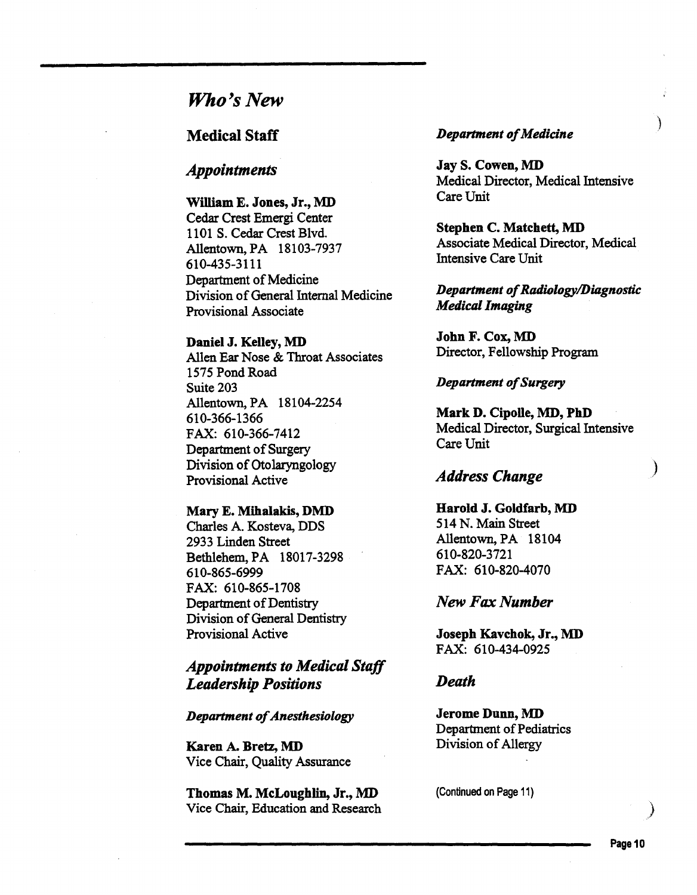### *Who's New*

Medical Staff

#### *Appointments*

William E. Jones, Jr., MD Cedar Crest Emergi Center 1101 S. Cedar Crest Blvd. Allentown, PA 18103-7937 610-435-3111 Department of Medicine Division of General Internal Medicine Provisional Associate

Daniel J. Kelley, MD Allen Ear Nose & Throat Associates 1575 Pond Road Suite 203 Allentown, PA 18104-2254 610-366-1366 FAX: 610-366-7412 Department of Surgery Division of Otolaryngology Provisional Active

#### Mary E. Mihalakis, DMD

Charles A. Kosteva, DDS 2933 Linden Street Bethlehem, PA 18017-3298 610-865-6999 FAX: 610-865-1708 Department of Dentistry Division of General Dentistry Provisional Active

*Appointments to Medical Staff Leadership Positions* 

#### *Department of Anesthesiology*

Karen A. Bretz, MD Vice Chair, Quality Assurance

Thomas M. McLoughlin, Jr., MD Vice Chair, Education and Research

#### *Department of Medicine*

Jay S. Cowen, MD Medical Director, Medical Intensive Care Unit

)

Stephen C. Matchett, MD Associate Medical Director, Medical Intensive Care Unit

*Department of Radiology/Diagnostic Medical Imaging* 

John F. Cox, MD Director, Fellowship Program

#### *Department of Surgery*

Mark D. Cipolle, MD, PhD Medical Director, Surgical Intensive Care Unit

#### *Address Change* )

Harold J. Goldfarb, MD 514 N. Main Street Allentown, PA 18104 610-820-3721 FAX: 610-820-4070

*New Fax Number* 

Joseph Kavchok, Jr., MD FAX: 610-434-0925

#### *Death*

Jerome Dunn, MD Department of Pediatrics Division of Allergy

(Continued on Page 11)

 $\big)$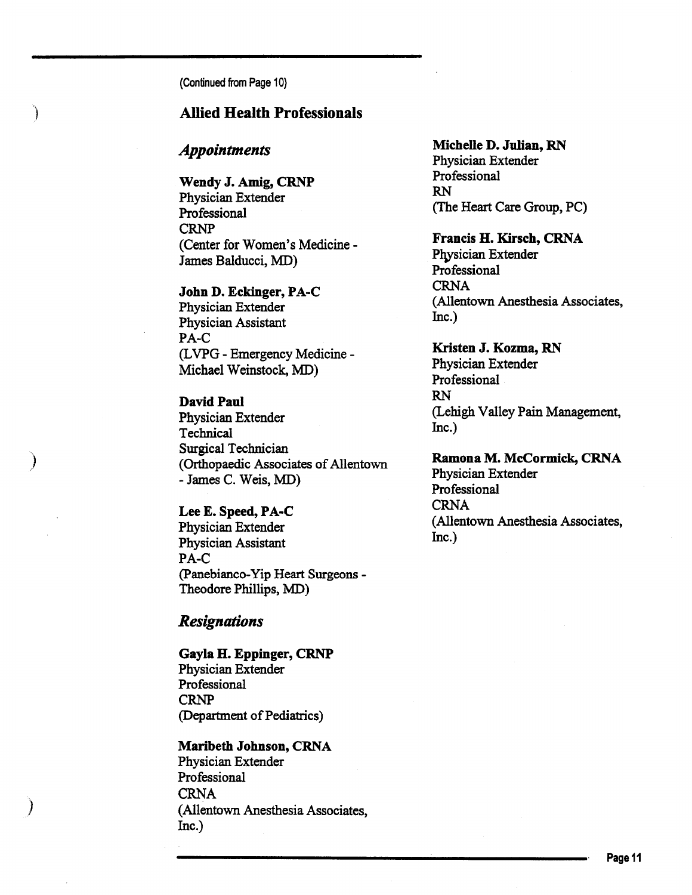(Continued from Page 10)

### Allied Health Professionals

#### *Appointments*

)

)

)

Wendy J. Amig, CRNP Physician Extender Professional CRNP (Center for Women's Medicine-James Balducci, MD)

#### John D. Eckinger, PA-C

Physician Extender Physician Assistant PA-C (L VPG - Emergency Medicine - Michael Weinstock, MD)

#### David Paul

Physician Extender Technical Surgical Technician (Orthopaedic Associates of Allentown -James C. Weis, MD)

#### Lee E. Speed, PA-C

Physician Extender Physician Assistant PA-C (Panebianco-Yip Heart Surgeons - Theodore Phillips, MD)

#### *Resignations*

#### Gayla H. Eppinger, CRNP

Physician Extender Professional CRNP (Department of Pediatrics)

#### Maribeth Johnson, CRNA Physician Extender

Professional CRNA (Allentown Anesthesia Associates,<br>Inc.)

#### Michelle D. Julian, RN

Physician Extender Professional RN (The Heart Care Group, PC)

#### Francis H. Kirsch, CRNA

Physician Extender Professional CRNA (Allentown Anesthesia Associates,<br>Inc.) Inc.)

#### Kristen J. Kozma, RN

Physician Extender Professional RN (Lehigh Valley Pain Management, Inc.)

#### Ramona M. McCormick, CRNA

Physician Extender Professional CRNA (Allentown Anesthesia Associates, Inc.)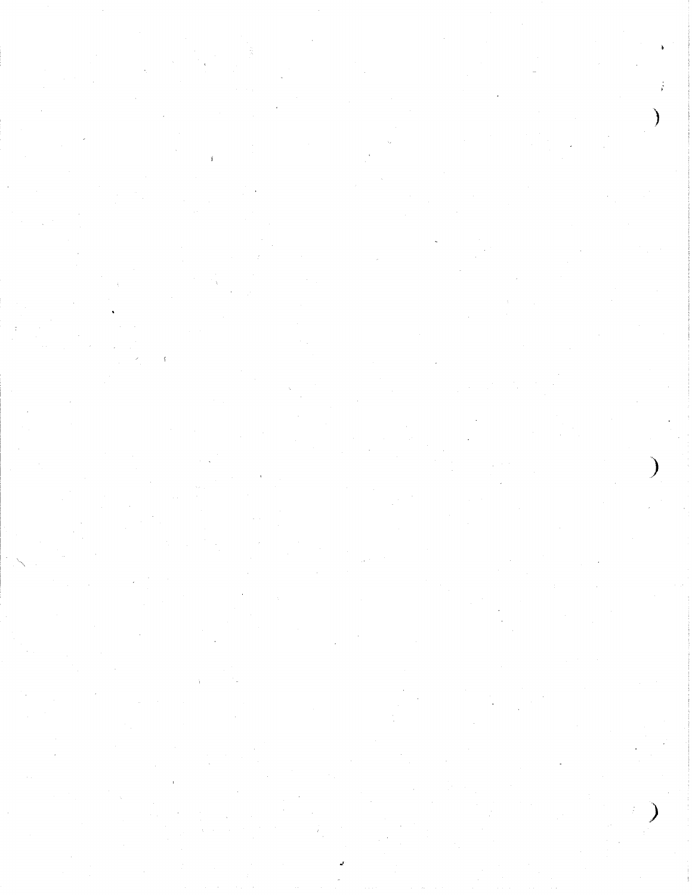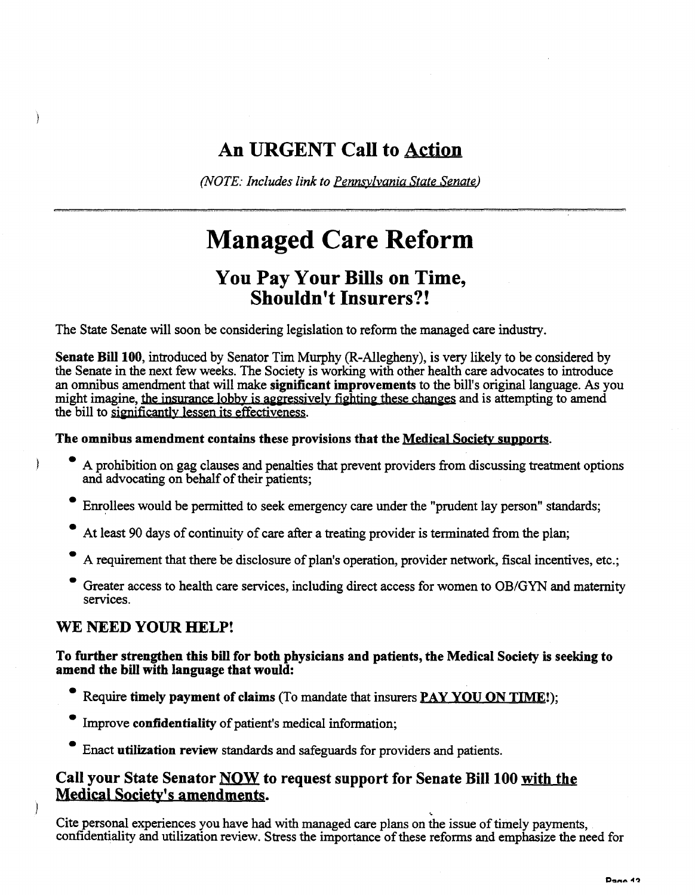## An URGENT Call to Action

*(NOTE: Includes link to Pennzylvania State Senate)* 

# Managed Care Reform

### You Pay Your Bills on Time, Shouldn't Insurers?!

The State Senate will soon be considering legislation to reform the managed care industry.

Senate Bill 100, introduced by Senator Tim Murphy (R-Allegheny), is very likely to be considered by the Senate in the next few weeks. The Society is working with other health care advocates to introduce an omnibus amendment that will make significant improvements to the bill's original language. As you might imagine, the insurance lobby is aggressively fighting these changes and is attempting to amend the bill to significantly lessen its effectiveness.

#### The omnibus amendment contains these provisions that the Medical Society supports.

- A prohibition on gag clauses and penalties that prevent providers from discussing treatment options and advocating on behalf of their patients;
- Enrollees would be permitted to seek emergency care under the "prudent lay person" standards;
- At least 90 days of continuity of care after a treating provider is terminated from the plan;
- A requirement that there be disclosure of plan's operation, provider network, fiscal incentives, etc.;
- Greater access to health care services, including direct access for women to OB/GYN and maternity services.

### WE NEED YOUR HELP!

Ì

€

#### To further strengthen this bill for both physicians and patients, the Medical Society is seeking to amend the bill with language that would:

- Require timely payment of claims (To mandate that insurers PAY YOU ON TIME!);
- Improve confidentiality of patient's medical information;
- Enact utilization review standards and safeguards for providers and patients.

### Call your State Senator NOW to request support for Senate Bill 100 with the Medical Society's amendments.

' Cite personal experiences you have had with managed care plans on the issue of timely payments, confidentiality and utilization review. Stress the importance of these reforms and emphasize the need for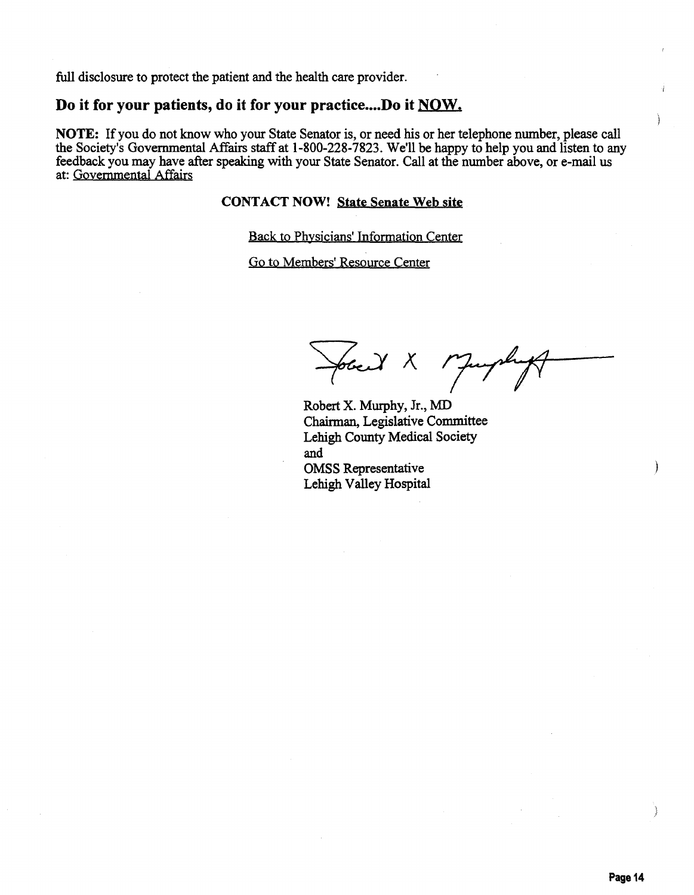full disclosure to protect the patient and the health care provider.

#### Do it for your patients, do it for your practice....Do it NOW.

NOTE: If you do not know who your State Senator is, or need his or her telephone number, please call the Society's Governmental Affairs staff at 1-800-228-7823. We'll be happy to help you and listen to any feedback you may have after speaking with your State Senator. Call at the number above, or e-mail us at: Governmental Affairs

#### CONTACT NOW! State Senate Web site

Back to Physicians' Information Center

Go to Members' Resource Center

Jobect X Marghan

Robert X. Murphy, Jr., MD Chairman, Legislative Committee Lehigh County Medical Society and OMSS Representative Lehigh Valley Hospital

 $\int\limits_{0}^{2\pi}$ l